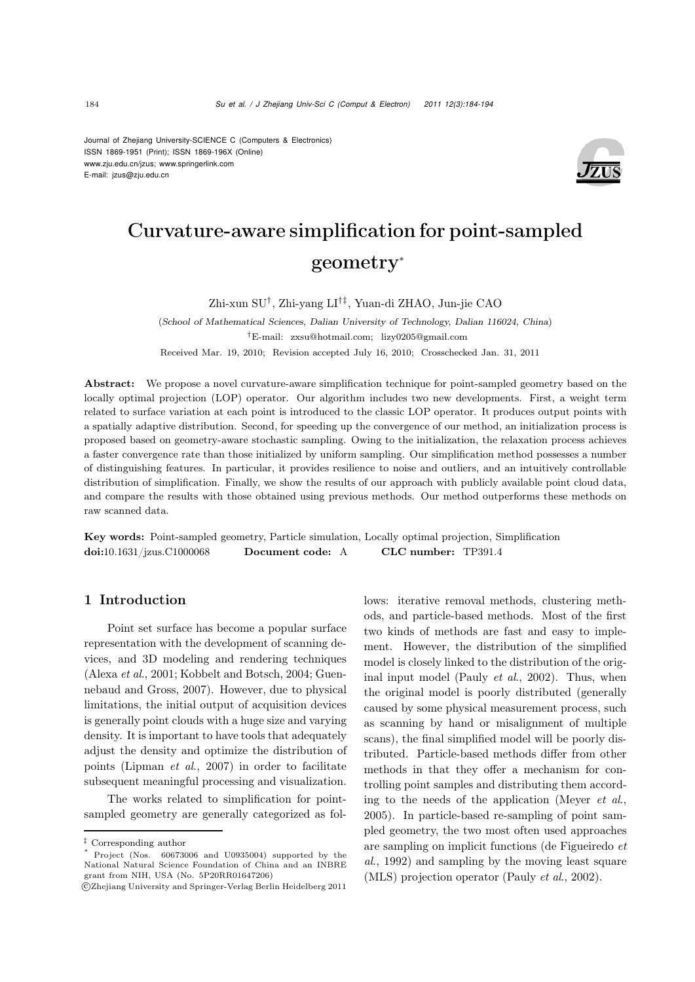Journal of Zhejiang University-SCIENCE C (Computers & Electronics) ISSN 1869-1951 (Print); ISSN 1869-196X (Online) www.zju.edu.cn/jzus; www.springerlink.com E-mail: jzus@zju.edu.cn



# Curvature-aware simplification for point-sampled geometry<sup>∗</sup>

Zhi-xun SU†, Zhi-yang LI†‡, Yuan-di ZHAO, Jun-jie CAO

(*School of Mathematical Sciences, Dalian University of Technology, Dalian 116024, China*) †E-mail: zxsu@hotmail.com; lizy0205@gmail.com Received Mar. 19, 2010; Revision accepted July 16, 2010; Crosschecked Jan. 31, 2011

Abstract: We propose a novel curvature-aware simplification technique for point-sampled geometry based on the locally optimal projection (LOP) operator. Our algorithm includes two new developments. First, a weight term related to surface variation at each point is introduced to the classic LOP operator. It produces output points with a spatially adaptive distribution. Second, for speeding up the convergence of our method, an initialization process is proposed based on geometry-aware stochastic sampling. Owing to the initialization, the relaxation process achieves a faster convergence rate than those initialized by uniform sampling. Our simplification method possesses a number of distinguishing features. In particular, it provides resilience to noise and outliers, and an intuitively controllable distribution of simplification. Finally, we show the results of our approach with publicly available point cloud data, and compare the results with those obtained using previous methods. Our method outperforms these methods on raw scanned data.

Key words: Point-sampled geometry, Particle simulation, Locally optimal projection, Simplification doi:10.1631/jzus.C1000068 Document code: A CLC number: TP391.4

# 1 Introduction

Point set surface has become a popular surface representation with the development of scanning devices, and 3D modeling and rendering techniques (Alexa *et al*., 2001; Kobbelt and Botsch, 2004; Guennebaud and Gross, 2007). However, due to physical limitations, the initial output of acquisition devices is generally point clouds with a huge size and varying density. It is important to have tools that adequately adjust the density and optimize the distribution of points (Lipman *et al*., 2007) in order to facilitate subsequent meaningful processing and visualization.

The works related to simplification for pointsampled geometry are generally categorized as follows: iterative removal methods, clustering methods, and particle-based methods. Most of the first two kinds of methods are fast and easy to implement. However, the distribution of the simplified model is closely linked to the distribution of the original input model (Pauly *et al*., 2002). Thus, when the original model is poorly distributed (generally caused by some physical measurement process, such as scanning by hand or misalignment of multiple scans), the final simplified model will be poorly distributed. Particle-based methods differ from other methods in that they offer a mechanism for controlling point samples and distributing them according to the needs of the application (Meyer *et al*., 2005). In particle-based re-sampling of point sampled geometry, the two most often used approaches are sampling on implicit functions (de Figueiredo *et al*., 1992) and sampling by the moving least square (MLS) projection operator (Pauly *et al*., 2002).

<sup>‡</sup> Corresponding author

Project (Nos. 60673006 and U0935004) supported by the National Natural Science Foundation of China and an INBRE grant from NIH, USA (No. 5P20RR01647206)

c Zhejiang University and Springer-Verlag Berlin Heidelberg 2011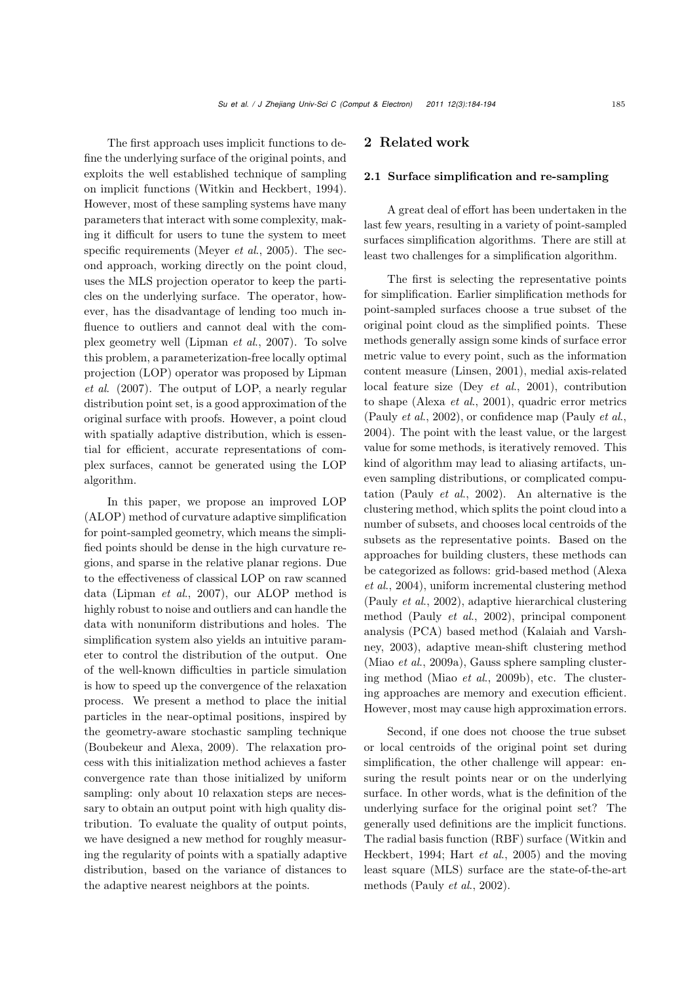The first approach uses implicit functions to define the underlying surface of the original points, and exploits the well established technique of sampling on implicit functions (Witkin and Heckbert, 1994). However, most of these sampling systems have many parameters that interact with some complexity, making it difficult for users to tune the system to meet specific requirements (Meyer *et al*., 2005). The second approach, working directly on the point cloud, uses the MLS projection operator to keep the particles on the underlying surface. The operator, however, has the disadvantage of lending too much influence to outliers and cannot deal with the complex geometry well (Lipman *et al*., 2007). To solve this problem, a parameterization-free locally optimal projection (LOP) operator was proposed by Lipman *et al*. (2007). The output of LOP, a nearly regular distribution point set, is a good approximation of the original surface with proofs. However, a point cloud with spatially adaptive distribution, which is essential for efficient, accurate representations of complex surfaces, cannot be generated using the LOP algorithm.

In this paper, we propose an improved LOP (ALOP) method of curvature adaptive simplification for point-sampled geometry, which means the simplified points should be dense in the high curvature regions, and sparse in the relative planar regions. Due to the effectiveness of classical LOP on raw scanned data (Lipman *et al*., 2007), our ALOP method is highly robust to noise and outliers and can handle the data with nonuniform distributions and holes. The simplification system also yields an intuitive parameter to control the distribution of the output. One of the well-known difficulties in particle simulation is how to speed up the convergence of the relaxation process. We present a method to place the initial particles in the near-optimal positions, inspired by the geometry-aware stochastic sampling technique (Boubekeur and Alexa, 2009). The relaxation process with this initialization method achieves a faster convergence rate than those initialized by uniform sampling: only about 10 relaxation steps are necessary to obtain an output point with high quality distribution. To evaluate the quality of output points, we have designed a new method for roughly measuring the regularity of points with a spatially adaptive distribution, based on the variance of distances to the adaptive nearest neighbors at the points.

## 2 Related work

#### 2.1 Surface simplification and re-sampling

A great deal of effort has been undertaken in the last few years, resulting in a variety of point-sampled surfaces simplification algorithms. There are still at least two challenges for a simplification algorithm.

The first is selecting the representative points for simplification. Earlier simplification methods for point-sampled surfaces choose a true subset of the original point cloud as the simplified points. These methods generally assign some kinds of surface error metric value to every point, such as the information content measure (Linsen, 2001), medial axis-related local feature size (Dey *et al*., 2001), contribution to shape (Alexa *et al*., 2001), quadric error metrics (Pauly *et al*., 2002), or confidence map (Pauly *et al*., 2004). The point with the least value, or the largest value for some methods, is iteratively removed. This kind of algorithm may lead to aliasing artifacts, uneven sampling distributions, or complicated computation (Pauly *et al*., 2002). An alternative is the clustering method, which splits the point cloud into a number of subsets, and chooses local centroids of the subsets as the representative points. Based on the approaches for building clusters, these methods can be categorized as follows: grid-based method (Alexa *et al*., 2004), uniform incremental clustering method (Pauly *et al*., 2002), adaptive hierarchical clustering method (Pauly *et al*., 2002), principal component analysis (PCA) based method (Kalaiah and Varshney, 2003), adaptive mean-shift clustering method (Miao *et al*., 2009a), Gauss sphere sampling clustering method (Miao *et al*., 2009b), etc. The clustering approaches are memory and execution efficient. However, most may cause high approximation errors.

Second, if one does not choose the true subset or local centroids of the original point set during simplification, the other challenge will appear: ensuring the result points near or on the underlying surface. In other words, what is the definition of the underlying surface for the original point set? The generally used definitions are the implicit functions. The radial basis function (RBF) surface (Witkin and Heckbert, 1994; Hart *et al*., 2005) and the moving least square (MLS) surface are the state-of-the-art methods (Pauly *et al*., 2002).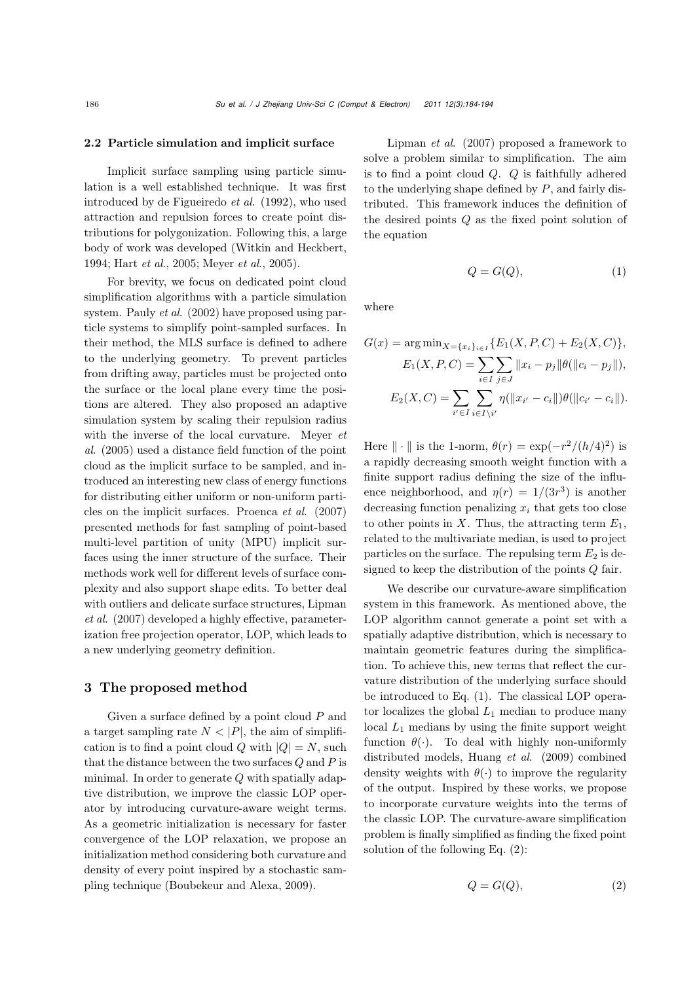#### 2.2 Particle simulation and implicit surface

Implicit surface sampling using particle simulation is a well established technique. It was first introduced by de Figueiredo *et al*. (1992), who used attraction and repulsion forces to create point distributions for polygonization. Following this, a large body of work was developed (Witkin and Heckbert, 1994; Hart *et al*., 2005; Meyer *et al*., 2005).

For brevity, we focus on dedicated point cloud simplification algorithms with a particle simulation system. Pauly *et al*. (2002) have proposed using particle systems to simplify point-sampled surfaces. In their method, the MLS surface is defined to adhere to the underlying geometry. To prevent particles from drifting away, particles must be projected onto the surface or the local plane every time the positions are altered. They also proposed an adaptive simulation system by scaling their repulsion radius with the inverse of the local curvature. Meyer *et al*. (2005) used a distance field function of the point cloud as the implicit surface to be sampled, and introduced an interesting new class of energy functions for distributing either uniform or non-uniform particles on the implicit surfaces. Proenca *et al*. (2007) presented methods for fast sampling of point-based multi-level partition of unity (MPU) implicit surfaces using the inner structure of the surface. Their methods work well for different levels of surface complexity and also support shape edits. To better deal with outliers and delicate surface structures, Lipman *et al*. (2007) developed a highly effective, parameterization free projection operator, LOP, which leads to a new underlying geometry definition.

## 3 The proposed method

Given a surface defined by a point cloud P and a target sampling rate  $N < |P|$ , the aim of simplification is to find a point cloud Q with  $|Q| = N$ , such that the distance between the two surfaces  $Q$  and  $P$  is minimal. In order to generate  $Q$  with spatially adaptive distribution, we improve the classic LOP operator by introducing curvature-aware weight terms. As a geometric initialization is necessary for faster convergence of the LOP relaxation, we propose an initialization method considering both curvature and density of every point inspired by a stochastic sampling technique (Boubekeur and Alexa, 2009).

Lipman *et al*. (2007) proposed a framework to solve a problem similar to simplification. The aim is to find a point cloud Q. Q is faithfully adhered to the underlying shape defined by  $P$ , and fairly distributed. This framework induces the definition of the desired points  $Q$  as the fixed point solution of the equation

$$
Q = G(Q),\tag{1}
$$

where

$$
G(x) = \arg\min_{X = \{x_i\}_{i \in I}} \{E_1(X, P, C) + E_2(X, C)\},
$$

$$
E_1(X, P, C) = \sum_{i \in I} \sum_{j \in J} ||x_i - p_j||\theta(||c_i - p_j||),
$$

$$
E_2(X, C) = \sum_{i' \in I} \sum_{i \in I \setminus i'} \eta(||x_{i'} - c_i||)\theta(||c_{i'} - c_i||).
$$

Here  $\|\cdot\|$  is the 1-norm,  $\theta(r) = \exp(-r^2/(h/4)^2)$  is a rapidly decreasing smooth weight function with a finite support radius defining the size of the influence neighborhood, and  $\eta(r)=1/(3r^3)$  is another decreasing function penalizing  $x_i$  that gets too close to other points in  $X$ . Thus, the attracting term  $E_1$ , related to the multivariate median, is used to project particles on the surface. The repulsing term  $E_2$  is designed to keep the distribution of the points Q fair.

We describe our curvature-aware simplification system in this framework. As mentioned above, the LOP algorithm cannot generate a point set with a spatially adaptive distribution, which is necessary to maintain geometric features during the simplification. To achieve this, new terms that reflect the curvature distribution of the underlying surface should be introduced to Eq. (1). The classical LOP operator localizes the global  $L_1$  median to produce many local  $L_1$  medians by using the finite support weight function  $\theta(\cdot)$ . To deal with highly non-uniformly distributed models, Huang *et al*. (2009) combined density weights with  $\theta(\cdot)$  to improve the regularity of the output. Inspired by these works, we propose to incorporate curvature weights into the terms of the classic LOP. The curvature-aware simplification problem is finally simplified as finding the fixed point solution of the following Eq. (2):

$$
Q = G(Q),\tag{2}
$$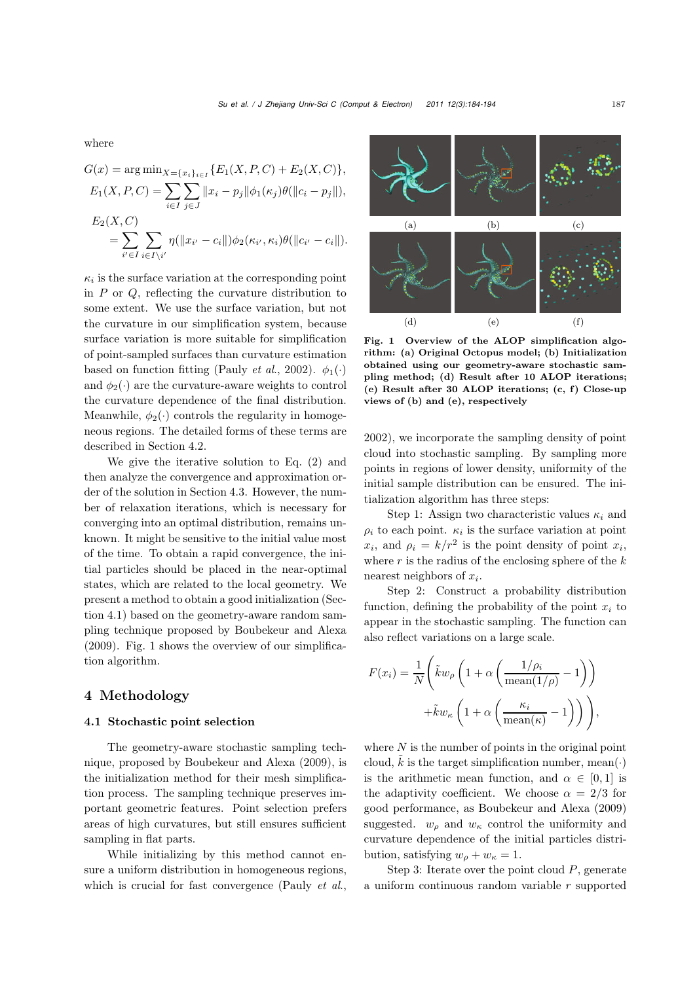where

$$
G(x) = \arg \min_{X = \{x_i\}_{i \in I}} \{E_1(X, P, C) + E_2(X, C)\},
$$
  
\n
$$
E_1(X, P, C) = \sum_{i \in I} \sum_{j \in J} ||x_i - p_j||\phi_1(\kappa_j)\theta(||c_i - p_j||),
$$
  
\n
$$
E_2(X, C)
$$
  
\n
$$
= \sum_{i' \in I} \sum_{i \in I \setminus i'} \eta(||x_{i'} - c_i||)\phi_2(\kappa_{i'}, \kappa_i)\theta(||c_{i'} - c_i||).
$$

 $\kappa_i$  is the surface variation at the corresponding point in  $P$  or  $Q$ , reflecting the curvature distribution to some extent. We use the surface variation, but not the curvature in our simplification system, because surface variation is more suitable for simplification of point-sampled surfaces than curvature estimation based on function fitting (Pauly *et al.*, 2002).  $\phi_1(\cdot)$ and  $\phi_2(\cdot)$  are the curvature-aware weights to control the curvature dependence of the final distribution. Meanwhile,  $\phi_2(\cdot)$  controls the regularity in homogeneous regions. The detailed forms of these terms are described in Section 4.2.

We give the iterative solution to Eq. (2) and then analyze the convergence and approximation order of the solution in Section 4.3. However, the number of relaxation iterations, which is necessary for converging into an optimal distribution, remains unknown. It might be sensitive to the initial value most of the time. To obtain a rapid convergence, the initial particles should be placed in the near-optimal states, which are related to the local geometry. We present a method to obtain a good initialization (Section 4.1) based on the geometry-aware random sampling technique proposed by Boubekeur and Alexa (2009). Fig. 1 shows the overview of our simplification algorithm.

## 4 Methodology

## 4.1 Stochastic point selection

The geometry-aware stochastic sampling technique, proposed by Boubekeur and Alexa (2009), is the initialization method for their mesh simplification process. The sampling technique preserves important geometric features. Point selection prefers areas of high curvatures, but still ensures sufficient sampling in flat parts.

While initializing by this method cannot ensure a uniform distribution in homogeneous regions, which is crucial for fast convergence (Pauly *et al*.,



Fig. 1 Overview of the ALOP simplification algorithm: (a) Original Octopus model; (b) Initialization obtained using our geometry-aware stochastic sampling method; (d) Result after 10 ALOP iterations; (e) Result after 30 ALOP iterations;  $(c, f)$  Close-up views of (b) and (e), respectively

2002), we incorporate the sampling density of point cloud into stochastic sampling. By sampling more points in regions of lower density, uniformity of the initial sample distribution can be ensured. The initialization algorithm has three steps:

Step 1: Assign two characteristic values  $\kappa_i$  and  $\rho_i$  to each point.  $\kappa_i$  is the surface variation at point  $x_i$ , and  $\rho_i = k/r^2$  is the point density of point  $x_i$ , where  $r$  is the radius of the enclosing sphere of the  $k$ nearest neighbors of  $x_i$ .

Step 2: Construct a probability distribution function, defining the probability of the point  $x_i$  to appear in the stochastic sampling. The function can also reflect variations on a large scale.

$$
F(x_i) = \frac{1}{N} \left( \tilde{k}w_\rho \left( 1 + \alpha \left( \frac{1/\rho_i}{\text{mean}(1/\rho)} - 1 \right) \right) + \tilde{k}w_\kappa \left( 1 + \alpha \left( \frac{\kappa_i}{\text{mean}(\kappa)} - 1 \right) \right) \right),
$$

where  $N$  is the number of points in the original point cloud,  $\tilde{k}$  is the target simplification number, mean(·) is the arithmetic mean function, and  $\alpha \in [0,1]$  is the adaptivity coefficient. We choose  $\alpha = 2/3$  for good performance, as Boubekeur and Alexa (2009) suggested.  $w<sub>o</sub>$  and  $w<sub>κ</sub>$  control the uniformity and curvature dependence of the initial particles distribution, satisfying  $w_{\rho} + w_{\kappa} = 1$ .

Step 3: Iterate over the point cloud P, generate a uniform continuous random variable r supported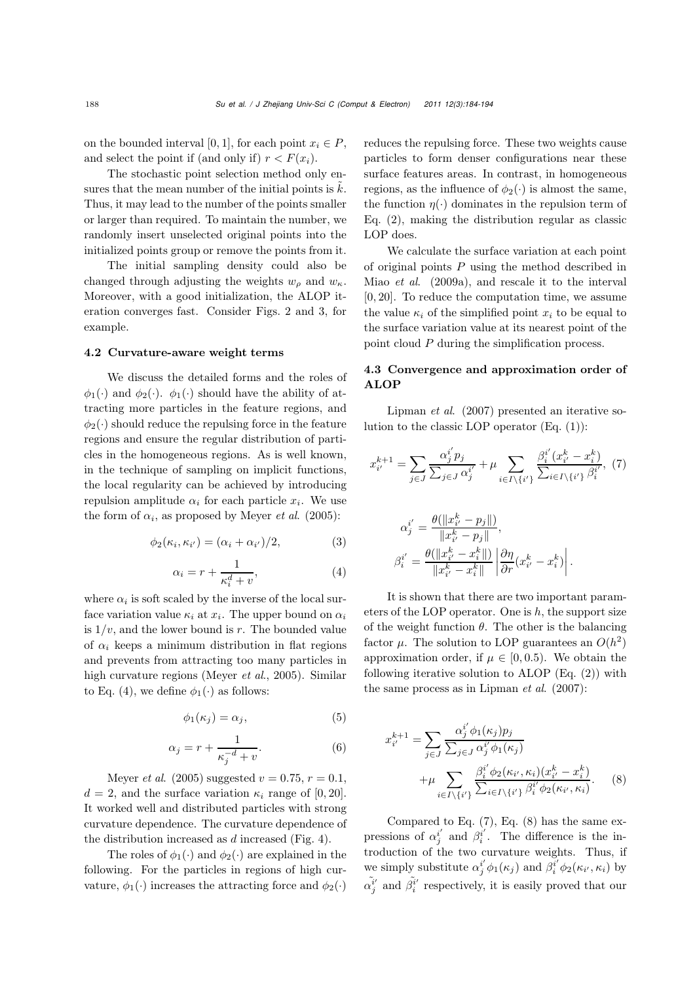on the bounded interval [0, 1], for each point  $x_i \in P$ , and select the point if (and only if)  $r < F(x_i)$ .

The stochastic point selection method only ensures that the mean number of the initial points is  $\tilde{k}$ . Thus, it may lead to the number of the points smaller or larger than required. To maintain the number, we randomly insert unselected original points into the initialized points group or remove the points from it.

The initial sampling density could also be changed through adjusting the weights  $w_{\rho}$  and  $w_{\kappa}$ . Moreover, with a good initialization, the ALOP iteration converges fast. Consider Figs. 2 and 3, for example.

#### 4.2 Curvature-aware weight terms

We discuss the detailed forms and the roles of  $\phi_1(\cdot)$  and  $\phi_2(\cdot)$ .  $\phi_1(\cdot)$  should have the ability of attracting more particles in the feature regions, and  $\phi_2(\cdot)$  should reduce the repulsing force in the feature regions and ensure the regular distribution of particles in the homogeneous regions. As is well known, in the technique of sampling on implicit functions, the local regularity can be achieved by introducing repulsion amplitude  $\alpha_i$  for each particle  $x_i$ . We use the form of  $\alpha_i$ , as proposed by Meyer *et al.* (2005):

$$
\phi_2(\kappa_i, \kappa_{i'}) = (\alpha_i + \alpha_{i'})/2, \tag{3}
$$

$$
\alpha_i = r + \frac{1}{\kappa_i^d + v},\tag{4}
$$

where  $\alpha_i$  is soft scaled by the inverse of the local surface variation value  $\kappa_i$  at  $x_i$ . The upper bound on  $\alpha_i$ is  $1/v$ , and the lower bound is r. The bounded value of  $\alpha_i$  keeps a minimum distribution in flat regions and prevents from attracting too many particles in high curvature regions (Meyer *et al*., 2005). Similar to Eq. (4), we define  $\phi_1(\cdot)$  as follows:

$$
\phi_1(\kappa_j) = \alpha_j,\tag{5}
$$

$$
\alpha_j = r + \frac{1}{\kappa_j^{-d} + v}.\tag{6}
$$

Meyer *et al.* (2005) suggested  $v = 0.75$ ,  $r = 0.1$ ,  $d = 2$ , and the surface variation  $\kappa_i$  range of [0, 20]. It worked well and distributed particles with strong curvature dependence. The curvature dependence of the distribution increased as d increased (Fig. 4).

The roles of  $\phi_1(\cdot)$  and  $\phi_2(\cdot)$  are explained in the following. For the particles in regions of high curvature,  $\phi_1(\cdot)$  increases the attracting force and  $\phi_2(\cdot)$ 

reduces the repulsing force. These two weights cause particles to form denser configurations near these surface features areas. In contrast, in homogeneous regions, as the influence of  $\phi_2(\cdot)$  is almost the same, the function  $\eta(\cdot)$  dominates in the repulsion term of Eq. (2), making the distribution regular as classic LOP does.

We calculate the surface variation at each point of original points  $P$  using the method described in Miao *et al*. (2009a), and rescale it to the interval [0, 20]. To reduce the computation time, we assume the value  $\kappa_i$  of the simplified point  $x_i$  to be equal to the surface variation value at its nearest point of the point cloud P during the simplification process.

## 4.3 Convergence and approximation order of ALOP

Lipman *et al*. (2007) presented an iterative solution to the classic LOP operator (Eq. (1)):

$$
x_{i'}^{k+1} = \sum_{j \in J} \frac{\alpha_j^{i'} p_j}{\sum_{j \in J} \alpha_j^{i'}} + \mu \sum_{i \in I \setminus \{i'\}} \frac{\beta_i^{i'} (x_{i'}^k - x_i^k)}{\sum_{i \in I \setminus \{i'\}} \beta_i^{i'}} , \tag{7}
$$

$$
\alpha_j^{i'} = \frac{\theta(||x_{i'}^k - p_j||)}{||x_{i'}^k - p_j||},
$$

$$
\beta_i^{i'} = \frac{\theta(||x_{i'}^k - x_i^k||)}{||x_{i'}^k - x_i^k||} \left| \frac{\partial \eta}{\partial r} (x_{i'}^k - x_i^k) \right|.
$$

It is shown that there are two important parameters of the LOP operator. One is  $h$ , the support size of the weight function  $\theta$ . The other is the balancing factor  $\mu$ . The solution to LOP guarantees an  $O(h^2)$ approximation order, if  $\mu \in [0, 0.5)$ . We obtain the following iterative solution to ALOP  $(Eq. (2))$  with the same process as in Lipman *et al*. (2007):

$$
x_{i'}^{k+1} = \sum_{j \in J} \frac{\alpha_j^{i'} \phi_1(\kappa_j) p_j}{\sum_{j \in J} \alpha_j^{i'} \phi_1(\kappa_j)}
$$

$$
+ \mu \sum_{i \in I \setminus \{i'\}} \frac{\beta_i^{i'} \phi_2(\kappa_{i'}, \kappa_i)(x_{i'}^k - x_i^k)}{\sum_{i \in I \setminus \{i'\}} \beta_i^{i'} \phi_2(\kappa_{i'}, \kappa_i)}.
$$
(8)

Compared to Eq. (7), Eq. (8) has the same expressions of  $\alpha_i^{i'}$  and  $\beta_i^{i'}$ . The difference is the introduction of the two curvature weights. Thus, if we simply substitute  $\alpha_j^{i'} \phi_1(\kappa_j)$  and  $\beta_i^{i'} \phi_2(\kappa_{i'}, \kappa_i)$  by  $\tilde{\alpha_j^{i'}}$  and  $\tilde{\beta_i^{i'}}$  respectively, it is easily proved that our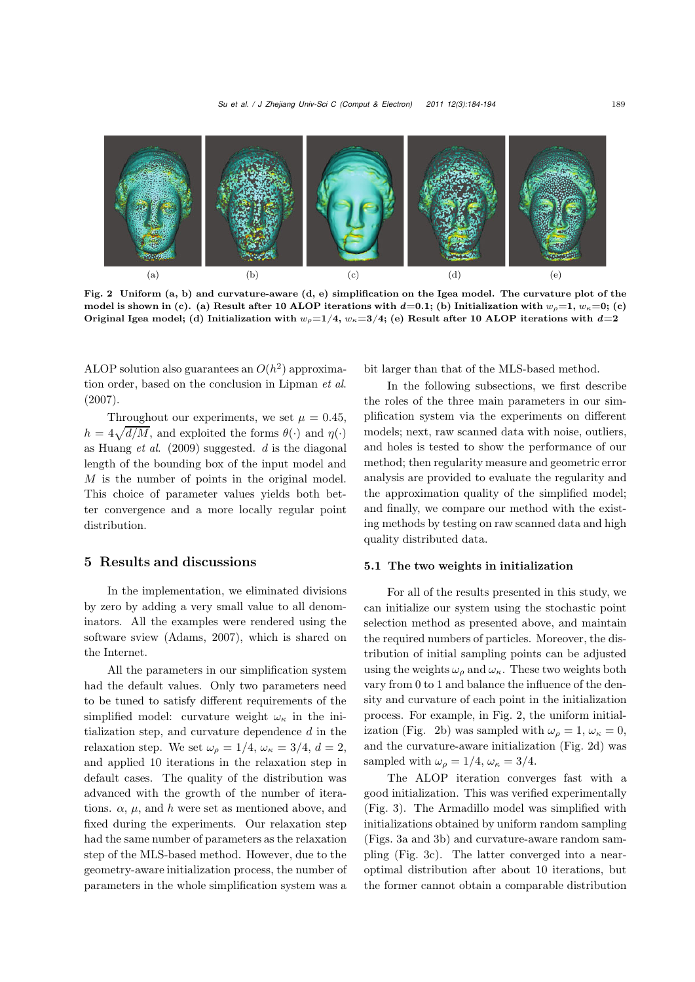

Fig. 2 Uniform (a, b) and curvature-aware (d, e) simplification on the Igea model. The curvature plot of the model is shown in (c). (a) Result after 10 ALOP iterations with  $d=0.1$ ; (b) Initialization with  $w<sub>\rho</sub>=1$ ,  $w<sub>\kappa</sub>=0$ ; (c) Original Igea model; (d) Initialization with  $w_p=1/4$ ,  $w_k=3/4$ ; (e) Result after 10 ALOP iterations with  $d=2$ 

ALOP solution also guarantees an  $O(h^2)$  approximation order, based on the conclusion in Lipman *et al*. (2007).

Throughout our experiments, we set  $\mu = 0.45$ ,  $h = 4\sqrt{d/M}$ , and exploited the forms  $\theta(\cdot)$  and  $\eta(\cdot)$ as Huang *et al*. (2009) suggested. d is the diagonal length of the bounding box of the input model and M is the number of points in the original model. This choice of parameter values yields both better convergence and a more locally regular point distribution.

## 5 Results and discussions

In the implementation, we eliminated divisions by zero by adding a very small value to all denominators. All the examples were rendered using the software sview (Adams, 2007), which is shared on the Internet.

All the parameters in our simplification system had the default values. Only two parameters need to be tuned to satisfy different requirements of the simplified model: curvature weight  $\omega_{\kappa}$  in the initialization step, and curvature dependence  $d$  in the relaxation step. We set  $\omega_{\rho} = 1/4$ ,  $\omega_{\kappa} = 3/4$ ,  $d = 2$ , and applied 10 iterations in the relaxation step in default cases. The quality of the distribution was advanced with the growth of the number of iterations.  $\alpha$ ,  $\mu$ , and h were set as mentioned above, and fixed during the experiments. Our relaxation step had the same number of parameters as the relaxation step of the MLS-based method. However, due to the geometry-aware initialization process, the number of parameters in the whole simplification system was a

bit larger than that of the MLS-based method.

In the following subsections, we first describe the roles of the three main parameters in our simplification system via the experiments on different models; next, raw scanned data with noise, outliers, and holes is tested to show the performance of our method; then regularity measure and geometric error analysis are provided to evaluate the regularity and the approximation quality of the simplified model; and finally, we compare our method with the existing methods by testing on raw scanned data and high quality distributed data.

#### 5.1 The two weights in initialization

For all of the results presented in this study, we can initialize our system using the stochastic point selection method as presented above, and maintain the required numbers of particles. Moreover, the distribution of initial sampling points can be adjusted using the weights  $\omega_{\rho}$  and  $\omega_{\kappa}$ . These two weights both vary from 0 to 1 and balance the influence of the density and curvature of each point in the initialization process. For example, in Fig. 2, the uniform initialization (Fig. 2b) was sampled with  $\omega_{\rho} = 1, \omega_{\kappa} = 0,$ and the curvature-aware initialization (Fig. 2d) was sampled with  $\omega_{\rho} = 1/4$ ,  $\omega_{\kappa} = 3/4$ .

The ALOP iteration converges fast with a good initialization. This was verified experimentally (Fig. 3). The Armadillo model was simplified with initializations obtained by uniform random sampling (Figs. 3a and 3b) and curvature-aware random sampling (Fig. 3c). The latter converged into a nearoptimal distribution after about 10 iterations, but the former cannot obtain a comparable distribution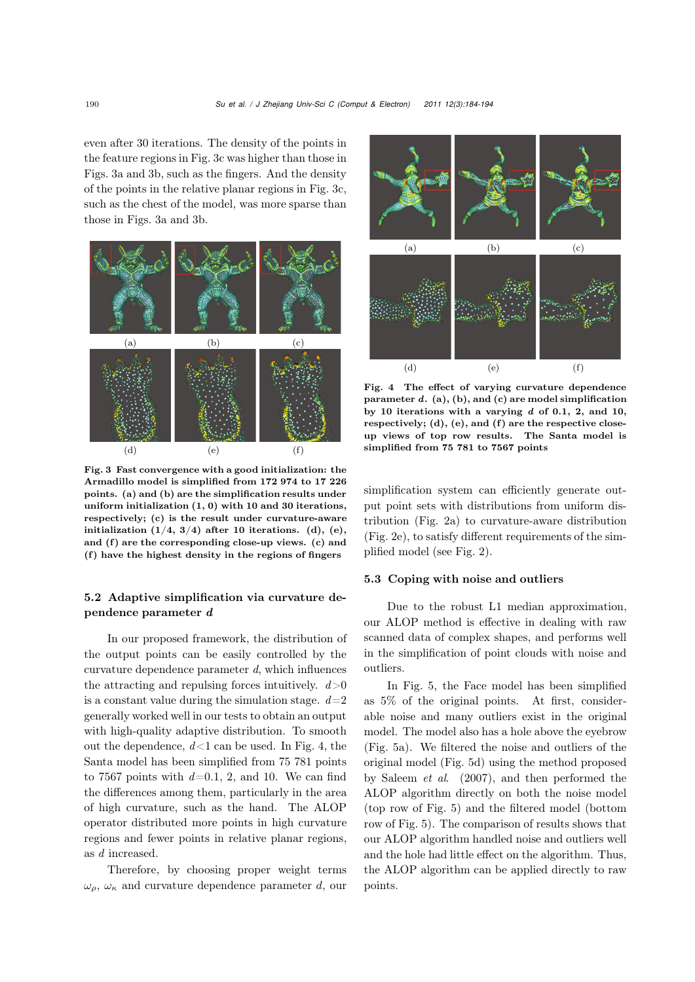even after 30 iterations. The density of the points in the feature regions in Fig. 3c was higher than those in Figs. 3a and 3b, such as the fingers. And the density of the points in the relative planar regions in Fig. 3c, such as the chest of the model, was more sparse than those in Figs. 3a and 3b.





Fig. 4 The effect of varying curvature dependence parameter *d*. (a), (b), and (c) are model simplification by 10 iterations with a varying *d* of 0.1, 2, and 10, respectively;  $(d)$ ,  $(e)$ , and  $(f)$  are the respective closeup views of top row results. The Santa model is simplified from 75 781 to 7567 points

Fig. 3 Fast convergence with a good initialization: the Armadillo model is simplified from 172 974 to 17 226 points. (a) and (b) are the simplification results under uniform initialization (1, 0) with 10 and 30 iterations, respectively; (c) is the result under curvature-aware initialization  $(1/4, 3/4)$  after 10 iterations. (d), (e), and  $(f)$  are the corresponding close-up views.  $(c)$  and (f) have the highest density in the regions of fingers

## 5.2 Adaptive simplification via curvature dependence parameter *d*

In our proposed framework, the distribution of the output points can be easily controlled by the curvature dependence parameter *d*, which influences the attracting and repulsing forces intuitively.  $d > 0$ is a constant value during the simulation stage.  $d=2$ generally worked well in our tests to obtain an output with high-quality adaptive distribution. To smooth out the dependence, *d*<1 can be used. In Fig. 4, the Santa model has been simplified from 75 781 points to 7567 points with  $d=0.1$ , 2, and 10. We can find the differences among them, particularly in the area of high curvature, such as the hand. The ALOP operator distributed more points in high curvature regions and fewer points in relative planar regions, as *d* increased.

Therefore, by choosing proper weight terms  $\omega_{\rho}$ ,  $\omega_{\kappa}$  and curvature dependence parameter d, our

simplification system can efficiently generate output point sets with distributions from uniform distribution (Fig. 2a) to curvature-aware distribution (Fig. 2e), to satisfy different requirements of the simplified model (see Fig. 2).

## 5.3 Coping with noise and outliers

Due to the robust L1 median approximation, our ALOP method is effective in dealing with raw scanned data of complex shapes, and performs well in the simplification of point clouds with noise and outliers.

In Fig. 5, the Face model has been simplified as 5% of the original points. At first, considerable noise and many outliers exist in the original model. The model also has a hole above the eyebrow (Fig. 5a). We filtered the noise and outliers of the original model (Fig. 5d) using the method proposed by Saleem *et al*. (2007), and then performed the ALOP algorithm directly on both the noise model (top row of Fig. 5) and the filtered model (bottom row of Fig. 5). The comparison of results shows that our ALOP algorithm handled noise and outliers well and the hole had little effect on the algorithm. Thus, the ALOP algorithm can be applied directly to raw points.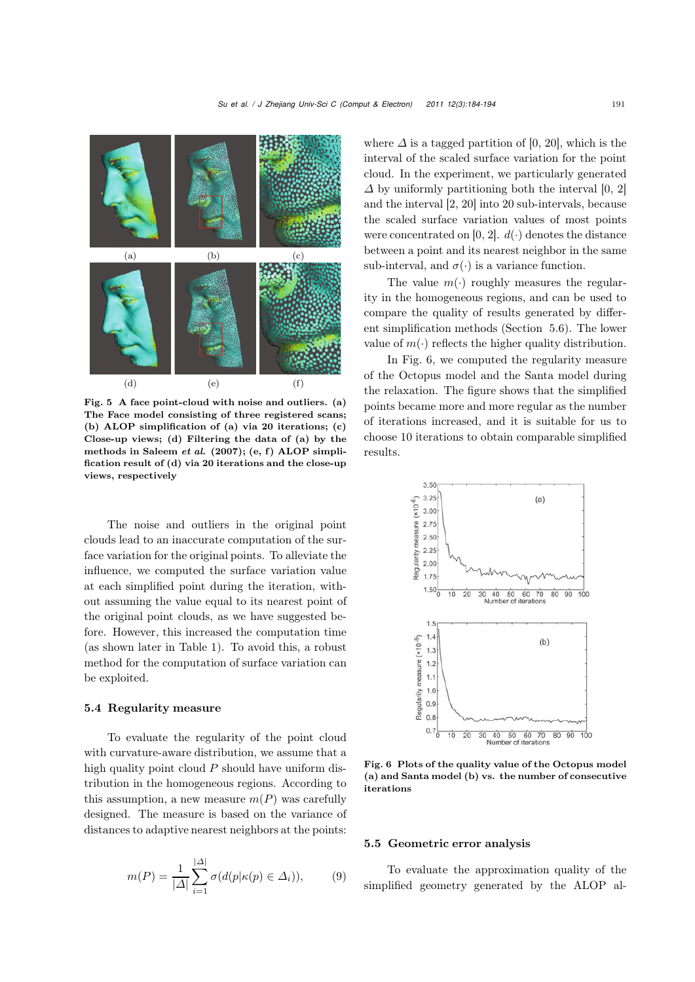

Fig. 5 A face point-cloud with noise and outliers. (a) The Face model consisting of three registered scans; (b) ALOP simplification of (a) via 20 iterations; (c) Close-up views; (d) Filtering the data of (a) by the methods in Saleem *et al.* (2007); (e, f) ALOP simplification result of (d) via 20 iterations and the close-up views, respectively

The noise and outliers in the original point clouds lead to an inaccurate computation of the surface variation for the original points. To alleviate the influence, we computed the surface variation value at each simplified point during the iteration, without assuming the value equal to its nearest point of the original point clouds, as we have suggested before. However, this increased the computation time (as shown later in Table 1). To avoid this, a robust method for the computation of surface variation can be exploited.

### 5.4 Regularity measure

To evaluate the regularity of the point cloud with curvature-aware distribution, we assume that a high quality point cloud  $P$  should have uniform distribution in the homogeneous regions. According to this assumption, a new measure  $m(P)$  was carefully designed. The measure is based on the variance of distances to adaptive nearest neighbors at the points:

$$
m(P) = \frac{1}{|\Delta|} \sum_{i=1}^{|\Delta|} \sigma(d(p|\kappa(p) \in \Delta_i)), \qquad (9)
$$

where  $\Delta$  is a tagged partition of [0, 20], which is the interval of the scaled surface variation for the point cloud. In the experiment, we particularly generated  $\Delta$  by uniformly partitioning both the interval [0, 2] and the interval [2, 20] into 20 sub-intervals, because the scaled surface variation values of most points were concentrated on [0, 2].  $d(\cdot)$  denotes the distance between a point and its nearest neighbor in the same sub-interval, and  $\sigma(\cdot)$  is a variance function.

The value  $m(\cdot)$  roughly measures the regularity in the homogeneous regions, and can be used to compare the quality of results generated by different simplification methods (Section 5.6). The lower value of  $m(\cdot)$  reflects the higher quality distribution.

In Fig. 6, we computed the regularity measure of the Octopus model and the Santa model during the relaxation. The figure shows that the simplified points became more and more regular as the number of iterations increased, and it is suitable for us to choose 10 iterations to obtain comparable simplified results.



Fig. 6 Plots of the quality value of the Octopus model (a) and Santa model (b) vs. the number of consecutive iterations

#### 5.5 Geometric error analysis

To evaluate the approximation quality of the simplified geometry generated by the ALOP al-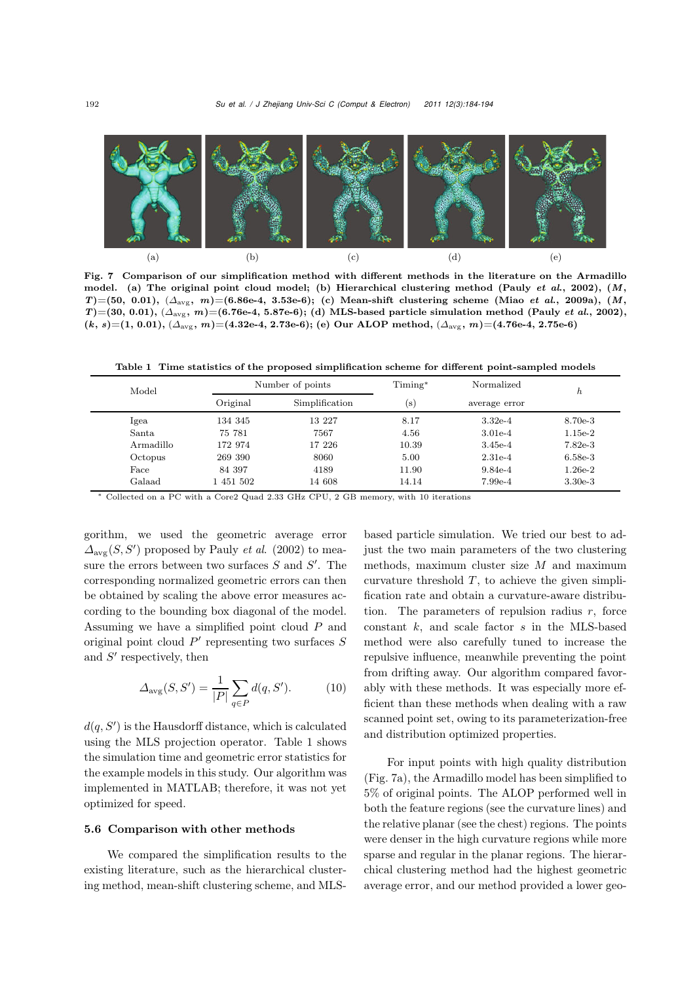

Fig. 7 Comparison of our simplification method with different methods in the literature on the Armadillo model. (a) The original point cloud model; (b) Hierarchical clustering method (Pauly *et al*., 2002), (*M*, *<sup>T</sup>*)=(50, 0.01), (Δavg, *<sup>m</sup>*)=(6.86e-4, 3.53e-6); (c) Mean-shift clustering scheme (Miao *et al*., 2009a), (*M*, *<sup>T</sup>*)=(30, 0.01), (Δavg, *<sup>m</sup>*)=(6.76e-4, 5.87e-6); (d) MLS-based particle simulation method (Pauly *et al*., 2002), (*k*, *<sup>s</sup>*)=(1, 0.01), (Δavg, *<sup>m</sup>*)=(4.32e-4, 2.73e-6); (e) Our ALOP method, (Δavg, *<sup>m</sup>*)=(4.76e-4, 2.75e-6)

Table 1 Time statistics of the proposed simplification scheme for different point-sampled models

| Model     | Number of points |                | $T$ iming <sup>*</sup> | Normalized    | h         |
|-----------|------------------|----------------|------------------------|---------------|-----------|
|           | Original         | Simplification | (s)                    | average error |           |
| Igea      | 134 345          | 13 227         | 8.17                   | $3.32e-4$     | 8.70e-3   |
| Santa     | 75 781           | 7567           | 4.56                   | $3.01e-4$     | $1.15e-2$ |
| Armadillo | 172 974          | 17 226         | 10.39                  | $3.45e-4$     | $7.82e-3$ |
| Octopus   | 269 390          | 8060           | 5.00                   | $2.31e-4$     | $6.58e-3$ |
| Face      | 84 397           | 4189           | 11.90                  | 9.84e-4       | $1.26e-2$ |
| Galaad    | 1 451 502        | 14 608         | 14.14                  | $7.99e-4$     | $3.30e-3$ |

Collected on a PC with a Core2 Quad 2.33 GHz CPU, 2 GB memory, with 10 iterations

gorithm, we used the geometric average error  $\Delta_{\text{avg}}(S, S')$  proposed by Pauly *et al.* (2002) to mea-<br>sure the errors between two surfaces S and S'. The sure the errors between two surfaces  $S$  and  $S'$ . The corresponding normalized geometric errors can then be obtained by scaling the above error measures according to the bounding box diagonal of the model. Assuming we have a simplified point cloud P and original point cloud  $P'$  representing two surfaces  $S$ and  $S'$  respectively, then

$$
\Delta_{\text{avg}}(S, S') = \frac{1}{|P|} \sum_{q \in P} d(q, S'). \tag{10}
$$

 $d(q, S')$  is the Hausdorff distance, which is calculated<br>using the MIS prejection operator. Table 1 shows using the MLS projection operator. Table 1 shows the simulation time and geometric error statistics for the example models in this study. Our algorithm was implemented in MATLAB; therefore, it was not yet optimized for speed.

#### 5.6 Comparison with other methods

We compared the simplification results to the existing literature, such as the hierarchical clustering method, mean-shift clustering scheme, and MLS- based particle simulation. We tried our best to adjust the two main parameters of the two clustering methods, maximum cluster size  $M$  and maximum curvature threshold  $T$ , to achieve the given simplification rate and obtain a curvature-aware distribution. The parameters of repulsion radius  $r$ , force constant  $k$ , and scale factor  $s$  in the MLS-based method were also carefully tuned to increase the repulsive influence, meanwhile preventing the point from drifting away. Our algorithm compared favorably with these methods. It was especially more efficient than these methods when dealing with a raw scanned point set, owing to its parameterization-free and distribution optimized properties.

For input points with high quality distribution (Fig. 7a), the Armadillo model has been simplified to 5% of original points. The ALOP performed well in both the feature regions (see the curvature lines) and the relative planar (see the chest) regions. The points were denser in the high curvature regions while more sparse and regular in the planar regions. The hierarchical clustering method had the highest geometric average error, and our method provided a lower geo-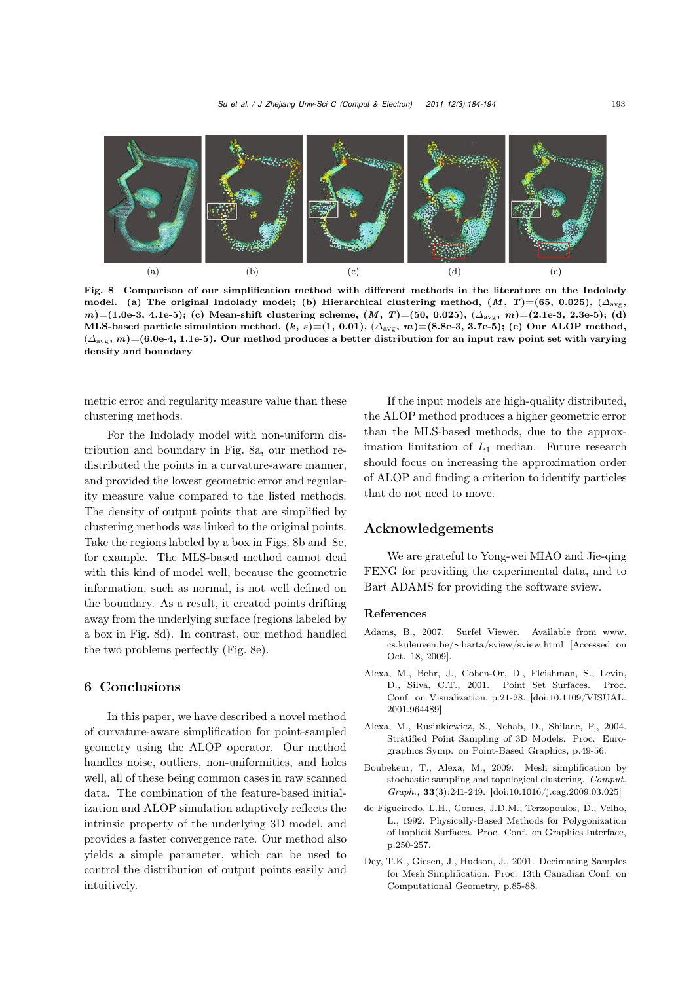

Fig. 8 Comparison of our simplification method with different methods in the literature on the Indolady model. (a) The original Indolady model; (b) Hierarchical clustering method,  $(M, T) = (65, 0.025), (\Delta_{\text{avg}},$ *<sup>m</sup>*)=(1.0e-3, 4.1e-5); (c) Mean-shift clustering scheme, (*M*, *<sup>T</sup>*)=(50, 0.025), (Δavg, *<sup>m</sup>*)=(2.1e-3, 2.3e-5); (d) MLS-based particle simulation method,  $(k, s) = (1, 0.01), (\Delta_{\text{avg}}, m) = (8.8e-3, 3.7e-5);$  (e) Our ALOP method,  $(\Delta_{\text{avg}}, m)$ =(6.0e-4, 1.1e-5). Our method produces a better distribution for an input raw point set with varying density and boundary

metric error and regularity measure value than these clustering methods.

For the Indolady model with non-uniform distribution and boundary in Fig. 8a, our method redistributed the points in a curvature-aware manner, and provided the lowest geometric error and regularity measure value compared to the listed methods. The density of output points that are simplified by clustering methods was linked to the original points. Take the regions labeled by a box in Figs. 8b and 8c, for example. The MLS-based method cannot deal with this kind of model well, because the geometric information, such as normal, is not well defined on the boundary. As a result, it created points drifting away from the underlying surface (regions labeled by a box in Fig. 8d). In contrast, our method handled the two problems perfectly (Fig. 8e).

## 6 Conclusions

In this paper, we have described a novel method of curvature-aware simplification for point-sampled geometry using the ALOP operator. Our method handles noise, outliers, non-uniformities, and holes well, all of these being common cases in raw scanned data. The combination of the feature-based initialization and ALOP simulation adaptively reflects the intrinsic property of the underlying 3D model, and provides a faster convergence rate. Our method also yields a simple parameter, which can be used to control the distribution of output points easily and intuitively.

If the input models are high-quality distributed, the ALOP method produces a higher geometric error than the MLS-based methods, due to the approximation limitation of  $L_1$  median. Future research should focus on increasing the approximation order of ALOP and finding a criterion to identify particles that do not need to move.

## Acknowledgements

We are grateful to Yong-wei MIAO and Jie-qing FENG for providing the experimental data, and to Bart ADAMS for providing the software sview.

#### References

- Adams, B., 2007. Surfel Viewer. Available from www. cs.kuleuven.be/∼barta/sview/sview.html [Accessed on Oct. 18, 2009].
- Alexa, M., Behr, J., Cohen-Or, D., Fleishman, S., Levin, D., Silva, C.T., 2001. Point Set Surfaces. Proc. Conf. on Visualization, p.21-28. [doi:10.1109/VISUAL. 2001.964489]
- Alexa, M., Rusinkiewicz, S., Nehab, D., Shilane, P., 2004. Stratified Point Sampling of 3D Models. Proc. Eurographics Symp. on Point-Based Graphics, p.49-56.
- Boubekeur, T., Alexa, M., 2009. Mesh simplification by stochastic sampling and topological clustering. *Comput. Graph.*, 33(3):241-249. [doi:10.1016/j.cag.2009.03.025]
- de Figueiredo, L.H., Gomes, J.D.M., Terzopoulos, D., Velho, L., 1992. Physically-Based Methods for Polygonization of Implicit Surfaces. Proc. Conf. on Graphics Interface, p.250-257.
- Dey, T.K., Giesen, J., Hudson, J., 2001. Decimating Samples for Mesh Simplification. Proc. 13th Canadian Conf. on Computational Geometry, p.85-88.